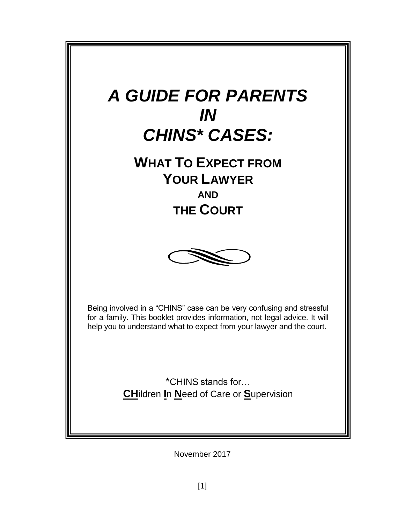

November 2017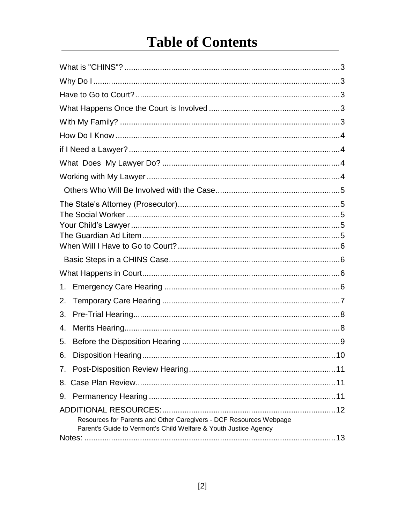# **Table of Contents**

<span id="page-1-0"></span>

| 1.                                                                                                                                     |     |
|----------------------------------------------------------------------------------------------------------------------------------------|-----|
| 2.                                                                                                                                     |     |
| 3.                                                                                                                                     |     |
| 4.                                                                                                                                     |     |
| 5.                                                                                                                                     |     |
| 6.                                                                                                                                     | .10 |
|                                                                                                                                        |     |
|                                                                                                                                        |     |
| 9.                                                                                                                                     |     |
|                                                                                                                                        |     |
| Resources for Parents and Other Caregivers - DCF Resources Webpage<br>Parent's Guide to Vermont's Child Welfare & Youth Justice Agency |     |
|                                                                                                                                        |     |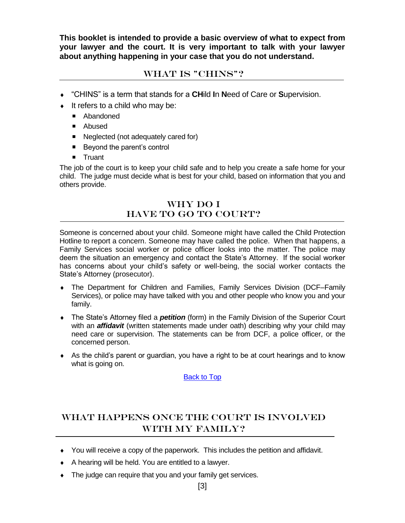**This booklet is intended to provide a basic overview of what to expect from your lawyer and the court. It is very important to talk with your lawyer about anything happening in your case that you do not understand.**

# WHAT IS "CHINS"?

- <span id="page-2-0"></span>"CHINS" is a term that stands for a **CH**ild **I**n **N**eed of Care or **S**upervision.
- $\bullet$  It refers to a child who may be:
	- **Abandoned**
	- **Abused**
	- Neglected (not adequately cared for)
	- Beyond the parent's control
	- **Truant**

The job of the court is to keep your child safe and to help you create a safe home for your child. The judge must decide what is best for your child, based on information that you and others provide.

# Why Do I HAVE TO GO TO COURT?

<span id="page-2-2"></span><span id="page-2-1"></span>Someone is concerned about your child. Someone might have called the Child Protection Hotline to report a concern. Someone may have called the police. When that happens, a Family Services social worker or police officer looks into the matter. The police may deem the situation an emergency and contact the State's Attorney. If the social worker has concerns about your child's safety or well-being, the social worker contacts the State's Attorney (prosecutor).

- The Department for Children and Families, Family Services Division (DCF–Family Services), or police may have talked with you and other people who know you and your family.
- The State's Attorney filed a *petition* (form) in the Family Division of the Superior Court with an *affidavit* (written statements made under oath) describing why your child may need care or supervision. The statements can be from DCF, a police officer, or the concerned person.
- As the child's parent or guardian, you have a right to be at court hearings and to know what is going on.

[Back to Top](#page-1-0)

# <span id="page-2-4"></span><span id="page-2-3"></span>What Happens Once the Court is Involved With My Family?

- You will receive a copy of the paperwork. This includes the petition and affidavit.
- $\bullet$  A hearing will be held. You are entitled to a lawyer.
- The judge can require that you and your family get services.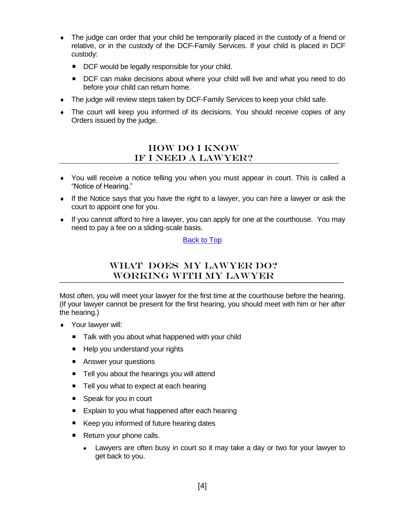- The judge can order that your child be temporarily placed in the custody of a friend or relative, or in the custody of the DCF-Family Services. If your child is placed in DCF custody:
	- DCF would be legally responsible for your child.
	- DCF can make decisions about where your child will live and what you need to do before your child can return home.
- The judge will review steps taken by DCF-Family Services to keep your child safe.
- The court will keep you informed of its decisions. You should receive copies of any Orders issued by the judge.

## How Do I Know if I Need a Lawyer?

- <span id="page-3-1"></span><span id="page-3-0"></span> You will receive a notice telling you when you must appear in court. This is called a "Notice of Hearing."
- $\bullet$  If the Notice says that you have the right to a lawyer, you can hire a lawyer or ask the court to appoint one for you.
- $\bullet$  If you cannot afford to hire a lawyer, you can apply for one at the courthouse. You may need to pay a fee on a sliding-scale basis.

#### [Back to Top](#page-1-0)

# WHAT DOES MY LAWYER DO? Working with My Lawyer

<span id="page-3-3"></span><span id="page-3-2"></span>Most often, you will meet your lawyer for the first time at the courthouse before the hearing. (If your lawyer cannot be present for the first hearing, you should meet with him or her after the hearing.)

- Your lawyer will:
	- Talk with you about what happened with your child
	- Help you understand your rights
	- Answer your questions
	- Tell you about the hearings you will attend
	- Tell you what to expect at each hearing
	- Speak for you in court
	- **Explain to you what happened after each hearing**
	- Keep you informed of future hearing dates
	- Return your phone calls.
		- Lawyers are often busy in court so it may take a day or two for your lawyer to get back to you.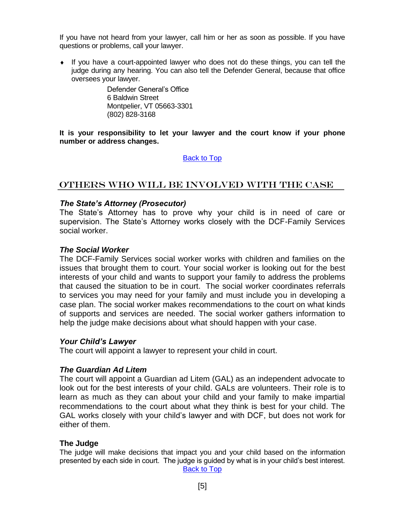<span id="page-4-0"></span>If you have not heard from your lawyer, call him or her as soon as possible. If you have questions or problems, call your lawyer.

 If you have a court-appointed lawyer who does not do these things, you can tell the judge during any hearing. You can also tell the Defender General, because that office oversees your lawyer.

> Defender General's Office 6 Baldwin Street Montpelier, VT 05663-3301 (802) 828-3168

**It is your responsibility to let your lawyer and the court know if your phone number or address changes.**

#### [Back to Top](#page-1-0)

#### Others Who Will Be Involved with the Case

#### <span id="page-4-1"></span>*The State's Attorney (Prosecutor)*

The State's Attorney has to prove why your child is in need of care or supervision. The State's Attorney works closely with the DCF-Family Services social worker.

#### <span id="page-4-2"></span>*The Social Worker*

The DCF-Family Services social worker works with children and families on the issues that brought them to court. Your social worker is looking out for the best interests of your child and wants to support your family to address the problems that caused the situation to be in court. The social worker coordinates referrals to services you may need for your family and must include you in developing a case plan. The social worker makes recommendations to the court on what kinds of supports and services are needed. The social worker gathers information to help the judge make decisions about what should happen with your case.

#### <span id="page-4-3"></span>*Your Child's Lawyer*

The court will appoint a lawyer to represent your child in court.

#### <span id="page-4-4"></span>*The Guardian Ad Litem*

The court will appoint a Guardian ad Litem (GAL) as an independent advocate to look out for the best interests of your child. GALs are volunteers. Their role is to learn as much as they can about your child and your family to make impartial recommendations to the court about what they think is best for your child. The GAL works closely with your child's lawyer and with DCF, but does not work for either of them.

#### **The Judge**

The judge will make decisions that impact you and your child based on the information presented by each side in court. The judge is guided by what is in your child's best interest. [Back to Top](#page-1-0)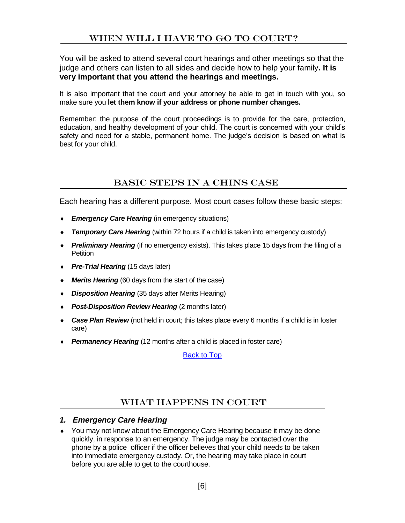# When Will I Have to Go to Court?

<span id="page-5-3"></span><span id="page-5-0"></span>You will be asked to attend several court hearings and other meetings so that the judge and others can listen to all sides and decide how to help your family**. It is very important that you attend the hearings and meetings.**

It is also important that the court and your attorney be able to get in touch with you, so make sure you **let them know if your address or phone number changes.**

Remember: the purpose of the court proceedings is to provide for the care, protection, education, and healthy development of your child. The court is concerned with your child's safety and need for a stable, permanent home. The judge's decision is based on what is best for your child.

### <span id="page-5-1"></span>Basic Steps in a CHINS Case

Each hearing has a different purpose. Most court cases follow these basic steps:

- **Emergency Care Hearing** (in emergency situations)
- **Temporary Care Hearing** (within 72 hours if a child is taken into emergency custody)
- *Preliminary Hearing* (if no emergency exists). This takes place 15 days from the filing of a Petition
- ◆ *Pre-Trial Hearing* (15 days later)
- *Merits Hearing* (60 days from the start of the case)
- *Disposition Hearing* (35 days after Merits Hearing)
- *Post-Disposition Review Hearing* (2 months later)
- *Case Plan Review* (not held in court; this takes place every 6 months if a child is in foster care)
- **Permanency Hearing** (12 months after a child is placed in foster care)

[Back to Top](#page-1-0)

#### WHAT HAPPENS IN COURT

#### <span id="page-5-2"></span>*1. Emergency Care Hearing*

 You may not know about the Emergency Care Hearing because it may be done quickly, in response to an emergency. The judge may be contacted over the phone by a police officer if the officer believes that your child needs to be taken into immediate emergency custody. Or, the hearing may take place in court before you are able to get to the courthouse.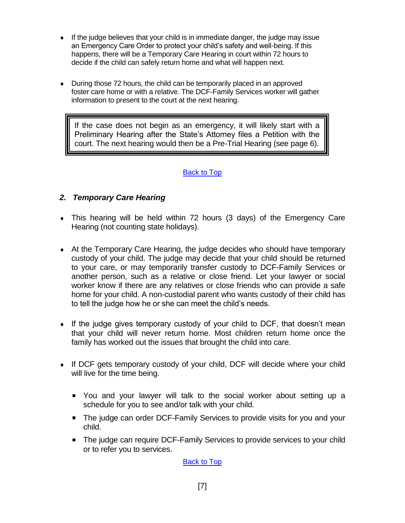- $\bullet$  If the judge believes that your child is in immediate danger, the judge may issue an Emergency Care Order to protect your child's safety and well-being. If this happens, there will be a Temporary Care Hearing in court within 72 hours to decide if the child can safely return home and what will happen next.
- During those 72 hours, the child can be temporarily placed in an approved foster care home or with a relative. The DCF-Family Services worker will gather information to present to the court at the next hearing.

If the case does not begin as an emergency, it will likely start with a Preliminary Hearing after the State's Attorney files a Petition with the court. The next hearing would then be a Pre-Trial Hearing (see page 6).

#### [Back to Top](#page-1-0)

#### <span id="page-6-0"></span>*2. Temporary Care Hearing*

- This hearing will be held within 72 hours (3 days) of the Emergency Care Hearing (not counting state holidays).
- At the Temporary Care Hearing, the judge decides who should have temporary custody of your child. The judge may decide that your child should be returned to your care, or may temporarily transfer custody to DCF-Family Services or another person, such as a relative or close friend. Let your lawyer or social worker know if there are any relatives or close friends who can provide a safe home for your child. A non-custodial parent who wants custody of their child has to tell the judge how he or she can meet the child's needs.
- If the judge gives temporary custody of your child to DCF, that doesn't mean that your child will never return home. Most children return home once the family has worked out the issues that brought the child into care.
- If DCF gets temporary custody of your child, DCF will decide where your child will live for the time being.
	- You and your lawyer will talk to the social worker about setting up a schedule for you to see and/or talk with your child.
	- The judge can order DCF-Family Services to provide visits for you and your child.
	- The judge can require DCF-Family Services to provide services to your child or to refer you to services.

[Back to Top](#page-1-0)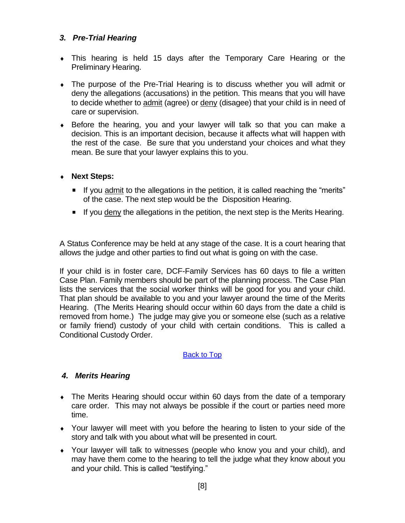#### <span id="page-7-0"></span>*3. Pre-Trial Hearing*

- This hearing is held 15 days after the Temporary Care Hearing or the Preliminary Hearing.
- The purpose of the Pre-Trial Hearing is to discuss whether you will admit or deny the allegations (accusations) in the petition. This means that you will have to decide whether to admit (agree) or deny (disagee) that your child is in need of care or supervision.
- Before the hearing, you and your lawyer will talk so that you can make a decision. This is an important decision, because it affects what will happen with the rest of the case. Be sure that you understand your choices and what they mean. Be sure that your lawyer explains this to you.

#### **Next Steps:**

- If you admit to the allegations in the petition, it is called reaching the "merits" of the case. The next step would be the Disposition Hearing.
- If you deny the allegations in the petition, the next step is the Merits Hearing.

A Status Conference may be held at any stage of the case. It is a court hearing that allows the judge and other parties to find out what is going on with the case.

If your child is in foster care, DCF-Family Services has 60 days to file a written Case Plan. Family members should be part of the planning process. The Case Plan lists the services that the social worker thinks will be good for you and your child. That plan should be available to you and your lawyer around the time of the Merits Hearing. (The Merits Hearing should occur within 60 days from the date a child is removed from home.) The judge may give you or someone else (such as a relative or family friend) custody of your child with certain conditions. This is called a Conditional Custody Order.

#### [Back to Top](#page-1-0)

#### <span id="page-7-1"></span>*4. Merits Hearing*

- The Merits Hearing should occur within 60 days from the date of a temporary care order. This may not always be possible if the court or parties need more time.
- Your lawyer will meet with you before the hearing to listen to your side of the story and talk with you about what will be presented in court.
- Your lawyer will talk to witnesses (people who know you and your child), and may have them come to the hearing to tell the judge what they know about you and your child. This is called "testifying."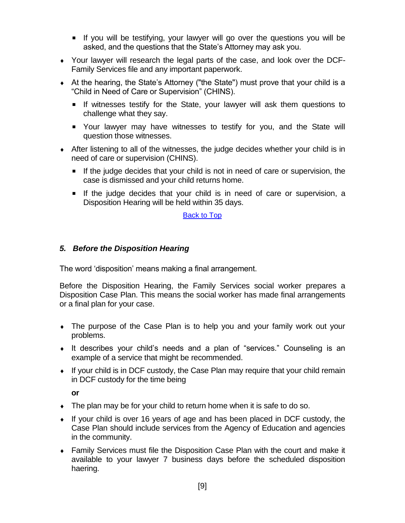- If you will be testifying, your lawyer will go over the questions you will be asked, and the questions that the State's Attorney may ask you.
- Your lawyer will research the legal parts of the case, and look over the DCF-Family Services file and any important paperwork.
- At the hearing, the State's Attorney ("the State") must prove that your child is a "Child in Need of Care or Supervision" (CHINS).
	- If witnesses testify for the State, your lawyer will ask them questions to challenge what they say.
	- Your lawyer may have witnesses to testify for you, and the State will question those witnesses.
- After listening to all of the witnesses, the judge decides whether your child is in need of care or supervision (CHINS).
	- If the judge decides that your child is not in need of care or supervision, the case is dismissed and your child returns home.
	- If the judge decides that your child is in need of care or supervision, a Disposition Hearing will be held within 35 days.

#### [Back to Top](#page-1-0)

#### <span id="page-8-0"></span>*5. Before the Disposition Hearing*

The word 'disposition' means making a final arrangement.

Before the Disposition Hearing, the Family Services social worker prepares a Disposition Case Plan. This means the social worker has made final arrangements or a final plan for your case.

- The purpose of the Case Plan is to help you and your family work out your problems.
- It describes your child's needs and a plan of "services." Counseling is an example of a service that might be recommended.
- If your child is in DCF custody, the Case Plan may require that your child remain in DCF custody for the time being

**or**

- $\bullet$  The plan may be for your child to return home when it is safe to do so.
- If your child is over 16 years of age and has been placed in DCF custody, the Case Plan should include services from the Agency of Education and agencies in the community.
- Family Services must file the Disposition Case Plan with the court and make it available to your lawyer 7 business days before the scheduled disposition haering.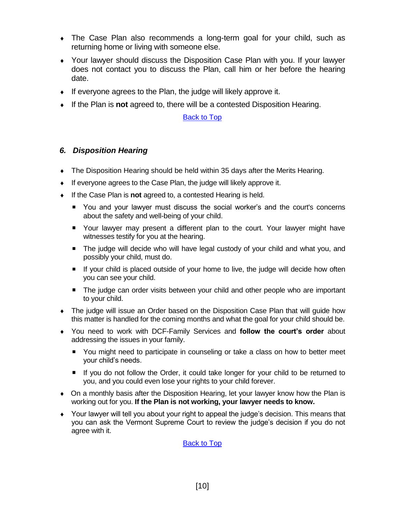- The Case Plan also recommends a long-term goal for your child, such as returning home or living with someone else.
- Your lawyer should discuss the Disposition Case Plan with you. If your lawyer does not contact you to discuss the Plan, call him or her before the hearing date.
- $\bullet$  If everyone agrees to the Plan, the judge will likely approve it.
- If the Plan is **not** agreed to, there will be a contested Disposition Hearing.

#### [Back to Top](#page-1-0)

#### <span id="page-9-0"></span>*6. Disposition Hearing*

- The Disposition Hearing should be held within 35 days after the Merits Hearing.
- $\bullet$  If everyone agrees to the Case Plan, the judge will likely approve it.
- If the Case Plan is **not** agreed to, a contested Hearing is held.
	- You and your lawyer must discuss the social worker's and the court's concerns about the safety and well-being of your child.
	- **•** Your lawyer may present a different plan to the court. Your lawyer might have witnesses testify for you at the hearing.
	- The judge will decide who will have legal custody of your child and what you, and possibly your child, must do.
	- If your child is placed outside of your home to live, the judge will decide how often you can see your child.
	- **The judge can order visits between your child and other people who are important** to your child.
- The judge will issue an Order based on the Disposition Case Plan that will guide how this matter is handled for the coming months and what the goal for your child should be.
- You need to work with DCF-Family Services and **follow the court's order** about addressing the issues in your family.
	- You might need to participate in counseling or take a class on how to better meet your child's needs.
	- If you do not follow the Order, it could take longer for your child to be returned to you, and you could even lose your rights to your child forever.
- On a monthly basis after the Disposition Hearing, let your lawyer know how the Plan is working out for you. **If the Plan is not working, your lawyer needs to know.**
- Your lawyer will tell you about your right to appeal the judge's decision. This means that you can ask the Vermont Supreme Court to review the judge's decision if you do not agree with it.

**[Back to Top](#page-1-0)**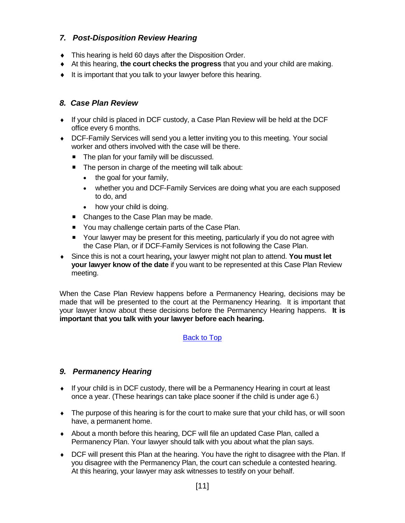#### <span id="page-10-0"></span>*7. Post-Disposition Review Hearing*

- $\bullet$  This hearing is held 60 days after the Disposition Order.
- At this hearing, **the court checks the progress** that you and your child are making.
- $\bullet$  It is important that you talk to your lawyer before this hearing.

#### <span id="page-10-1"></span>*8. Case Plan Review*

- If your child is placed in DCF custody, a Case Plan Review will be held at the DCF office every 6 months.
- ◆ DCF-Family Services will send you a letter inviting you to this meeting. Your social worker and others involved with the case will be there.
	- The plan for your family will be discussed.
	- The person in charge of the meeting will talk about:
		- the goal for your family,
		- whether you and DCF-Family Services are doing what you are each supposed to do, and
		- how your child is doing.
	- Changes to the Case Plan may be made.
	- You may challenge certain parts of the Case Plan.
	- Your lawyer may be present for this meeting, particularly if you do not agree with the Case Plan, or if DCF-Family Services is not following the Case Plan.
- Since this is not a court hearing**,** your lawyer might not plan to attend. **You must let your lawyer know of the date** if you want to be represented at this Case Plan Review meeting.

When the Case Plan Review happens before a Permanency Hearing, decisions may be made that will be presented to the court at the Permanency Hearing. It is important that your lawyer know about these decisions before the Permanency Hearing happens. **It is important that you talk with your lawyer before each hearing.**

#### [Back to Top](#page-1-0)

#### <span id="page-10-2"></span>*9. Permanency Hearing*

- If your child is in DCF custody, there will be a Permanency Hearing in court at least once a year. (These hearings can take place sooner if the child is under age 6.)
- The purpose of this hearing is for the court to make sure that your child has, or will soon have, a permanent home.
- About a month before this hearing, DCF will file an updated Case Plan, called a Permanency Plan. Your lawyer should talk with you about what the plan says.
- DCF will present this Plan at the hearing. You have the right to disagree with the Plan. If you disagree with the Permanency Plan, the court can schedule a contested hearing. At this hearing, your lawyer may ask witnesses to testify on your behalf.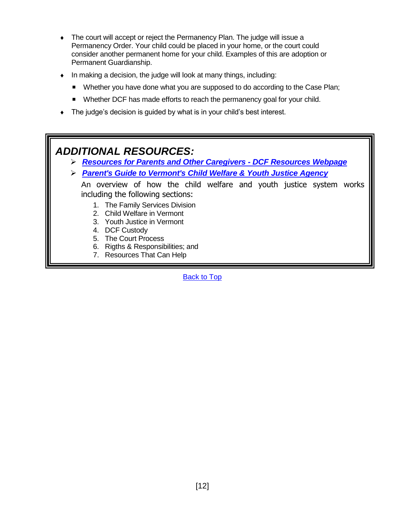- The court will accept or reject the Permanency Plan. The judge will issue a Permanency Order. Your child could be placed in your home, or the court could consider another permanent home for your child. Examples of this are adoption or Permanent Guardianship.
- In making a decision, the judge will look at many things, including:
	- Whether you have done what you are supposed to do according to the Case Plan;
	- Whether DCF has made efforts to reach the permanency goal for your child.
- The judge's decision is guided by what is in your child's best interest.

# *ADDITIONAL RESOURCES:*

- ➢ *[Resources for Parents and Other Caregivers -](http://dcf.vermont.gov/resources) DCF Resources Webpage*
- ➢ *[Parent's Guide to Vermont's Child Welfare & Youth Justice Agency](http://dcf.vermont.gov/sites/dcf/files/FSD/pubs/Parents-Guide-FSD.pdf)*

An overview of how the child welfare and youth justice system works including the following sections:

- 1. The Family Services Division
- 2. Child Welfare in Vermont
- 3. Youth Justice in Vermont
- 4. DCF Custody
- 5. The Court Process
- 6. Rigths & Responsibilities; and
- 7. Resources That Can Help

[Back to Top](#page-1-0)